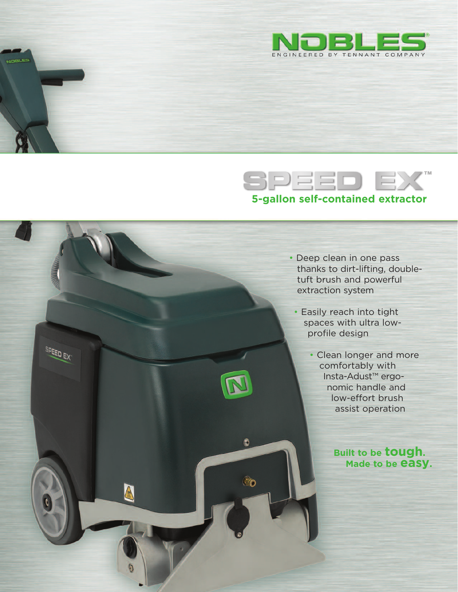





• Easily reach into tight spaces with ultra lowprofile design

 $\bullet$ 

To

SPEED EX

A

• Clean longer and more comfortably with Insta-Adust™ ergonomic handle and low-effort brush assist operation

> **Built to be tough. Made to be easy.**